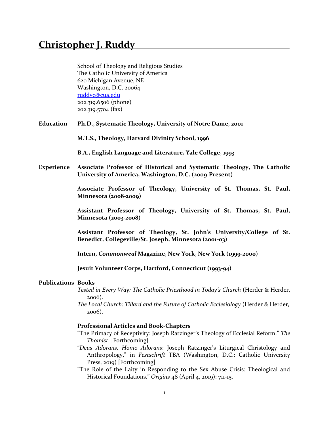School of Theology and Religious Studies The Catholic University of America 620 Michigan Avenue, NE Washington, D.C. 20064 [ruddyc@cua.edu](mailto:ruddyc@cua.edu) 202.319.6506 (phone) 202.319.5704 (fax)

**Education Ph.D., Systematic Theology, University of Notre Dame, 2001**

**M.T.S., Theology, Harvard Divinity School, 1996** 

**B.A., English Language and Literature, Yale College, 1993**

**Experience Associate Professor of Historical and Systematic Theology, The Catholic University of America, Washington, D.C. (2009-Present)** 

> **Associate Professor of Theology, University of St. Thomas, St. Paul, Minnesota (2008-2009)**

> **Assistant Professor of Theology, University of St. Thomas, St. Paul, Minnesota (2003-2008)**

> **Assistant Professor of Theology, St. John's University/College of St. Benedict, Collegeville/St. Joseph, Minnesota (2001-03)**

**Intern,** *Commonweal* **Magazine, New York, New York (1999-2000)**

**Jesuit Volunteer Corps, Hartford, Connecticut (1993-94)**

### **Publications Books**

*Tested in Every Way: The Catholic Priesthood in Today's Church* (Herder & Herder, 2006).

*The Local Church: Tillard and the Future of Catholic Ecclesiology* (Herder & Herder, 2006).

### **Professional Articles and Book-Chapters**

- "The Primacy of Receptivity: Joseph Ratzinger's Theology of Ecclesial Reform." *The Thomist*. [Forthcoming]
- "*Deus Adorans, Homo Adorans*: Joseph Ratzinger's Liturgical Christology and Anthropology," in *Festschrift* TBA (Washington, D.C.: Catholic University Press, 2019) [Forthcoming]
- "The Role of the Laity in Responding to the Sex Abuse Crisis: Theological and Historical Foundations." *Origins* 48 (April 4, 2019): 711-15.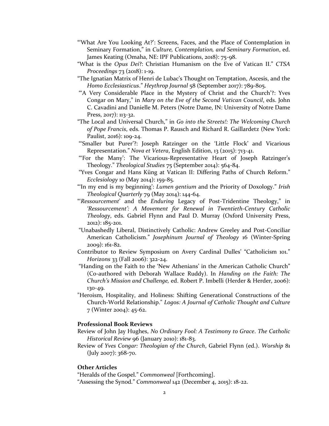- "'What Are You Looking At?': Screens, Faces, and the Place of Contemplation in Seminary Formation," in *Culture, Contemplation, and Seminary Formation*, ed. James Keating (Omaha, NE: IPF Publications, 2018): 75-98.
- "What is the *Opus Dei*?: Christian Humanism on the Eve of Vatican II." *CTSA Proceedings* 73 (2018): 1-19.
- "The Ignatian Matrix of Henri de Lubac's Thought on Temptation, Ascesis, and the *Homo Ecclesiasticus*." *Heythrop Journal* 58 (September 2017): 789-805.
- "'A Very Considerable Place in the Mystery of Christ and the Church'?: Yves Congar on Mary," in *Mary on the Eve of the Second Vatican Council*, eds. John C. Cavadini and Danielle M. Peters (Notre Dame, IN: University of Notre Dame Press, 2017): 113-32.
- "The Local and Universal Church," in *Go into the Streets!: The Welcoming Church of Pope Francis*, eds. Thomas P. Rausch and Richard R. Gaillardetz (New York: Paulist, 2016): 109-24.
- "'Smaller but Purer'?: Joseph Ratzinger on the 'Little Flock' and Vicarious Representation." *Nova et Vetera*, English Edition, 13 (2015): 713-41.
- "'For the Many': The Vicarious-Representative Heart of Joseph Ratzinger's Theology." *Theological Studies* 75 (September 2014): 564-84.
- "Yves Congar and Hans Küng at Vatican II: Differing Paths of Church Reform." *Ecclesiology* 10 (May 2014): 159-85.
- "'In my end is my beginning': *Lumen gentium* and the Priority of Doxology." *Irish Theological Quarterly* 79 (May 2014): 144-64.
- "'*Ressourcement*' and the *Enduring* Legacy of Post-Tridentine Theology," in *'Ressourcement': A Movement for Renewal in Twentieth-Century Catholic Theology*, eds. Gabriel Flynn and Paul D. Murray (Oxford University Press, 2012): 185-201.
- "Unabashedly Liberal, Distinctively Catholic: Andrew Greeley and Post-Conciliar American Catholicism." *Josephinum Journal of Theology* 16 (Winter-Spring 2009): 161-82.
- Contributor to Review Symposium on Avery Cardinal Dulles' "Catholicism 101." *Horizons* 33 (Fall 2006): 322-24.
- "Handing on the Faith to the 'New Athenians' in the American Catholic Church" (Co-authored with Deborah Wallace Ruddy). In *Handing on the Faith: The Church's Mission and Challenge,* ed. Robert P. Imbelli (Herder & Herder, 2006): 130-49.
- "Heroism, Hospitality, and Holiness: Shifting Generational Constructions of the Church-World Relationship." *Logos: A Journal of Catholic Thought and Culture* 7 (Winter 2004): 45-62.

### **Professional Book Reviews**

- Review of John Jay Hughes, *No Ordinary Fool: A Testimony to Grace*. *The Catholic Historical Review* 96 (January 2010): 181-83.
- Review of *Yves Congar: Theologian of the Church*, Gabriel Flynn (ed.). *Worship* 81 (July 2007): 368-70.

## **Other Articles**

"Heralds of the Gospel." *Commonweal* [Forthcoming]. "Assessing the Synod." *Commonweal* 142 (December 4, 2015): 18-22.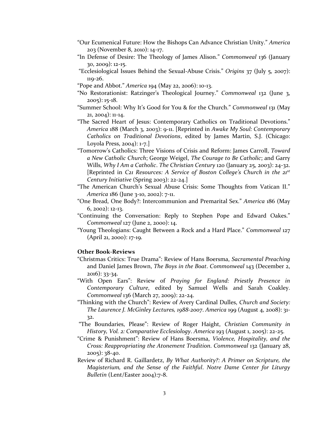- "Our Ecumenical Future: How the Bishops Can Advance Christian Unity." *America* 203 (November 8, 2010): 14-17.
- "In Defense of Desire: The Theology of James Alison." *Commonweal* 136 (January 30, 2009): 12-15.
- "Ecclesiological Issues Behind the Sexual-Abuse Crisis." *Origins* 37 (July 5, 2007): 119-26.
- "Pope and Abbot." *America* 194 (May 22, 2006): 10-13.
- "No Restorationist: Ratzinger's Theological Journey." *Commonweal* 132 (June 3, 2005): 15-18.
- "Summer School: Why It's Good for You & for the Church." *Commonweal* 131 (May 21, 2004): 11-14.
- "The Sacred Heart of Jesus: Contemporary Catholics on Traditional Devotions." *America* 188 (March 3, 2003): 9-11. [Reprinted in *Awake My Soul: Contemporary Catholics on Traditional Devotions*, edited by James Martin, S.J. (Chicago: Loyola Press, 2004): 1-7.]
- "Tomorrow's Catholics: Three Visions of Crisis and Reform: James Carroll, *Toward a New Catholic Church*; George Weigel, *The Courage to Be Catholic*; and Garry Wills, *Why I Am a Catholic*. *The Christian Century* 120 (January 25, 2003): 24-32. [Reprinted in *C21 Resources: A Service of Boston College's Church in the 21st Century Initiative* (Spring 2003): 22-24.]
- "The American Church's Sexual Abuse Crisis: Some Thoughts from Vatican II." *America* 186 (June 3-10, 2002): 7-11.
- "One Bread, One Body?: Intercommunion and Premarital Sex." *America* 186 (May 6, 2002): 12-13.
- "Continuing the Conversation: Reply to Stephen Pope and Edward Oakes." *Commonweal* 127 (June 2, 2000): 14.
- "Young Theologians: Caught Between a Rock and a Hard Place." *Commonweal* 127 (April 21, 2000): 17-19.

# **Other Book-Reviews**

- "Christmas Critics: True Drama": Review of Hans Boersma, *Sacramental Preaching* and Daniel James Brown, *The Boys in the Boat*. *Commonweal* 143 (December 2, 2016): 33-34.
- "With Open Ears": Review of *Praying for England: Priestly Presence in Contemporary Culture*, edited by Samuel Wells and Sarah Coakley. *Commonweal* 136 (March 27, 2009): 22-24.
- "Thinking with the Church": Review of Avery Cardinal Dulles, *Church and Society: The Laurence J. McGinley Lectures, 1988-2007*. *America* 199 (August 4, 2008): 31- 32.
- "The Boundaries, Please": Review of Roger Haight, *Christian Community in History, Vol. 2: Comparative Ecclesiology*. *America* 193 (August 1, 2005): 22-25.
- "Crime & Punishment": Review of Hans Boersma, *Violence, Hospitality, and the Cross: Reappropriating the Atonement Tradition*. *Commonweal* 132 (January 28, 2005): 38-40.
- Review of Richard R. Gaillardetz, *By What Authority?: A Primer on Scripture, the Magisterium, and the Sense of the Faithful*. *Notre Dame Center for Liturgy Bulletin* (Lent/Easter 2004):7-8.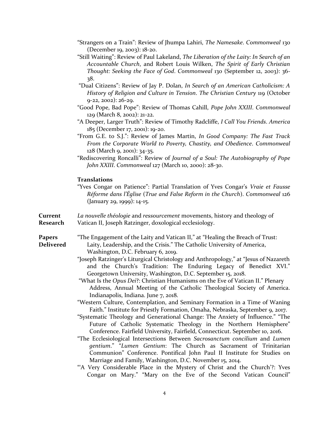- "Strangers on a Train": Review of Jhumpa Lahiri, *The Namesake*. *Commonweal* 130 (December 19, 2003): 18-20.
- "Still Waiting": Review of Paul Lakeland, *The Liberation of the Laity: In Search of an Accountable Church*, and Robert Louis Wilken, *The Spirit of Early Christian Thought: Seeking the Face of God*. *Commonweal* 130 (September 12, 2003): 36- 38.
- "Dual Citizens": Review of Jay P. Dolan, *In Search of an American Catholicism: A History of Religion and Culture in Tension*. *The Christian Century* 119 (October 9-22, 2002): 26-29.
- "Good Pope, Bad Pope": Review of Thomas Cahill, *Pope John XXIII*. *Commonweal* 129 (March 8, 2002): 21-22.
- "A Deeper, Larger Truth": Review of Timothy Radcliffe, *I Call You Friends*. *America* 185 (December 17, 2001): 19-20.
- "From G.E. to S.J.": Review of James Martin, *In Good Company: The Fast Track From the Corporate World to Poverty, Chastity, and Obedience*. *Commonweal* 128 (March 9, 2001): 34-35.
- "Rediscovering Roncalli": Review of *Journal of a Soul: The Autobiography of Pope John XXIII*. *Commonweal* 127 (March 10, 2000): 28-30.

### **Translations**

"Yves Congar on Patience": Partial Translation of Yves Congar's *Vraie et Fausse Réforme dans l'Église* (*True and False Reform in the Church*). *Commonweal* 126 (January 29, 1999): 14-15.

**Current** *La nouvelle théologie* and *ressourcement* movements, history and theology of **Research** Vatican II, Joseph Ratzinger, doxological ecclesiology.

- **Papers** "The Engagement of the Laity and Vatican II," at "Healing the Breach of Trust: **Delivered** Laity, Leadership, and the Crisis." The Catholic University of America, Washington, D.C. February 6, 2019.
	- "Joseph Ratzinger's Liturgical Christology and Anthropology," at "Jesus of Nazareth and the Church's Tradition: The Enduring Legacy of Benedict XVI." Georgetown University, Washington, D.C. September 15, 2018.

"What Is the *Opus Dei*?: Christian Humanisms on the Eve of Vatican II." Plenary Address, Annual Meeting of the Catholic Theological Society of America. Indianapolis, Indiana. June 7, 2018.

"Western Culture, Contemplation, and Seminary Formation in a Time of Waning Faith." Institute for Priestly Formation, Omaha, Nebraska, September 9, 2017.

- "Systematic Theology and Generational Change: The Anxiety of Influence." "The Future of Catholic Systematic Theology in the Northern Hemisphere" Conference. Fairfield University, Fairfield, Connecticut. September 10, 2016.
- "The Ecclesiological Intersections Between *Sacrosanctum concilium* and *Lumen gentium*." "*Lumen Gentium*: The Church as Sacrament of Trinitarian Communion" Conference. Pontifical John Paul II Institute for Studies on Marriage and Family, Washington, D.C. November 15, 2014.
- "A Very Considerable Place in the Mystery of Christ and the Church'?: Yves Congar on Mary." "Mary on the Eve of the Second Vatican Council"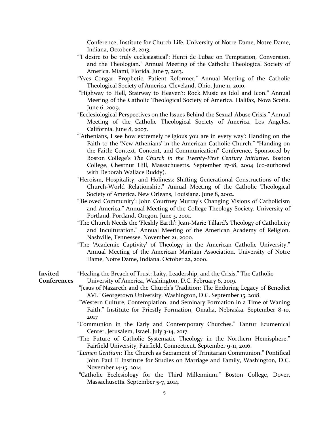Conference, Institute for Church Life, University of Notre Dame, Notre Dame, Indiana, October 8, 2013.

- "'I desire to be truly ecclesiastical': Henri de Lubac on Temptation, Conversion, and the Theologian." Annual Meeting of the Catholic Theological Society of America. Miami, Florida. June 7, 2013.
- "Yves Congar: Prophetic, Patient Reformer," Annual Meeting of the Catholic Theological Society of America. Cleveland, Ohio. June 11, 2010.
- "Highway to Hell, Stairway to Heaven?: Rock Music as Idol and Icon." Annual Meeting of the Catholic Theological Society of America. Halifax, Nova Scotia. June 6, 2009.
- "Ecclesiological Perspectives on the Issues Behind the Sexual-Abuse Crisis." Annual Meeting of the Catholic Theological Society of America. Los Angeles, California. June 8, 2007.
- "Athenians, I see how extremely religious you are in every way': Handing on the Faith to the 'New Athenians' in the American Catholic Church." "Handing on the Faith: Context, Content, and Communication" Conference, Sponsored by Boston College's *The Church in the Twenty-First Century Initiative*. Boston College, Chestnut Hill, Massachusetts. September 17-18, 2004 (co-authored with Deborah Wallace Ruddy).
- "Heroism, Hospitality, and Holiness: Shifting Generational Constructions of the Church-World Relationship." Annual Meeting of the Catholic Theological Society of America. New Orleans, Louisiana. June 8, 2002.
- "'Beloved Community': John Courtney Murray's Changing Visions of Catholicism and America." Annual Meeting of the College Theology Society. University of Portland, Portland, Oregon. June 3, 2001.
- "The Church Needs the 'Fleshly Earth': Jean-Marie Tillard's Theology of Catholicity and Inculturation." Annual Meeting of the American Academy of Religion. Nashville, Tennessee. November 21, 2000.
- "The 'Academic Captivity' of Theology in the American Catholic University." Annual Meeting of the American Maritain Association. University of Notre Dame, Notre Dame, Indiana. October 22, 2000.

## **Invited** "Healing the Breach of Trust: Laity, Leadership, and the Crisis." The Catholic **Conferences** University of America, Washington, D.C. February 6, 2019.

- "Jesus of Nazareth and the Church's Tradition: The Enduring Legacy of Benedict XVI." Georgetown University, Washington, D.C. September 15, 2018.
- "Western Culture, Contemplation, and Seminary Formation in a Time of Waning Faith." Institute for Priestly Formation, Omaha, Nebraska. September 8-10, 2017
- "Communion in the Early and Contemporary Churches." Tantur Ecumenical Center, Jerusalem, Israel. July 3-14, 2017.
- "The Future of Catholic Systematic Theology in the Northern Hemisphere." Fairfield University, Fairfield, Connecticut. September 9-11, 2016.
- "*Lumen Gentium*: The Church as Sacrament of Trinitarian Communion." Pontifical John Paul II Institute for Studies on Marriage and Family, Washington, D.C. November 14-15, 2014.
- "Catholic Ecclesiology for the Third Millennium." Boston College, Dover, Massachusetts. September 5-7, 2014.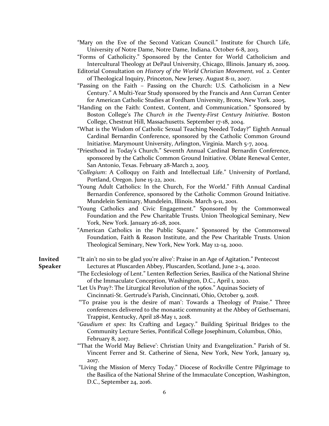- "Mary on the Eve of the Second Vatican Council." Institute for Church Life, University of Notre Dame, Notre Dame, Indiana. October 6-8, 2013.
- "Forms of Catholicity." Sponsored by the Center for World Catholicism and Intercultural Theology at DePaul University, Chicago, Illinois. January 16, 2009.
- Editorial Consultation on *History of the World Christian Movement, vol. 2*. Center of Theological Inquiry, Princeton, New Jersey. August 8-11, 2007.
- "Passing on the Faith Passing on the Church: U.S. Catholicism in a New Century." A Multi-Year Study sponsored by the Francis and Ann Curran Center for American Catholic Studies at Fordham University, Bronx, New York. 2005.
- "Handing on the Faith: Context, Content, and Communication." Sponsored by Boston College's *The Church in the Twenty-First Century Initiative*. Boston College, Chestnut Hill, Massachusetts. September 17-18, 2004.
- "What is the Wisdom of Catholic Sexual Teaching Needed Today?" Eighth Annual Cardinal Bernardin Conference, sponsored by the Catholic Common Ground Initiative. Marymount University, Arlington, Virginia. March 5-7, 2004.
- "Priesthood in Today's Church." Seventh Annual Cardinal Bernardin Conference, sponsored by the Catholic Common Ground Initiative. Oblate Renewal Center, San Antonio, Texas. February 28-March 2, 2003.
- "*Collegium*: A Colloquy on Faith and Intellectual Life." University of Portland, Portland, Oregon. June 15-22, 2001.
- "Young Adult Catholics: In the Church, For the World." Fifth Annual Cardinal Bernardin Conference, sponsored by the Catholic Common Ground Initiative. Mundelein Seminary, Mundelein, Illinois. March 9-11, 2001.
- "Young Catholics and Civic Engagement." Sponsored by the Commonweal Foundation and the Pew Charitable Trusts. Union Theological Seminary, New York, New York. January 26-28, 2001.
- "American Catholics in the Public Square." Sponsored by the Commonweal Foundation, Faith & Reason Institute, and the Pew Charitable Trusts. Union Theological Seminary, New York, New York. May 12-14, 2000.
- 
- **Invited** "'It ain't no sin to be glad you're alive': Praise in an Age of Agitation." Pentecost **Speaker** Lectures at Pluscarden Abbey, Pluscarden, Scotland, June 2-4, 2020.
	- "The Ecclesiology of Lent." Lenten Reflection Series, Basilica of the National Shrine of the Immaculate Conception, Washington, D.C., April 1, 2020.
	- "Let Us Pray?: The Liturgical Revolution of the 1960s." Aquinas Society of Cincinnati-St. Gertrude's Parish, Cincinnati, Ohio, October 9, 2018.
	- "'To praise you is the desire of man': Towards a Theology of Praise." Three conferences delivered to the monastic community at the Abbey of Gethsemani, Trappist, Kentucky, April 28-May 1, 2018.
	- "*Gaudium et spes*: Its Crafting and Legacy." Building Spiritual Bridges to the Community Lecture Series, Pontifical College Josephinum, Columbus, Ohio, February 8, 2017.
	- "'That the World May Believe': Christian Unity and Evangelization." Parish of St. Vincent Ferrer and St. Catherine of Siena, New York, New York, January 19, 2017.
	- "Living the Mission of Mercy Today." Diocese of Rockville Centre Pilgrimage to the Basilica of the National Shrine of the Immaculate Conception, Washington, D.C., September 24, 2016.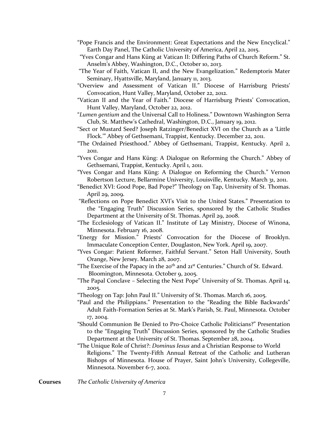- "Pope Francis and the Environment: Great Expectations and the New Encyclical." Earth Day Panel, The Catholic University of America, April 22, 2015.
- "Yves Congar and Hans Küng at Vatican II: Differing Paths of Church Reform." St. Anselm's Abbey, Washington, D.C., October 10, 2013.
- "The Year of Faith, Vatican II, and the New Evangelization." Redemptoris Mater Seminary, Hyattsville, Maryland, January 11, 2013.
- "Overview and Assessment of Vatican II." Diocese of Harrisburg Priests' Convocation, Hunt Valley, Maryland, October 22, 2012.
- "Vatican II and the Year of Faith." Diocese of Harrisburg Priests' Convocation, Hunt Valley, Maryland, October 22, 2012.
- "*Lumen gentium* and the Universal Call to Holiness." Downtown Washington Serra Club, St. Matthew's Cathedral, Washington, D.C., January 19, 2012.
- "Sect or Mustard Seed? Joseph Ratzinger/Benedict XVI on the Church as a 'Little Flock.'" Abbey of Gethsemani, Trappist, Kentucky. December 22, 2011.
- "The Ordained Priesthood." Abbey of Gethsemani, Trappist, Kentucky. April 2, 2011.
- "Yves Congar and Hans Küng: A Dialogue on Reforming the Church." Abbey of Gethsemani, Trappist, Kentucky. April 1, 2011.
- "Yves Congar and Hans Küng: A Dialogue on Reforming the Church." Vernon Robertson Lecture, Bellarmine University, Louisville, Kentucky. March 31, 2011.
- "Benedict XVI: Good Pope, Bad Pope?" Theology on Tap, University of St. Thomas. April 29, 2009.
- "Reflections on Pope Benedict XVI's Visit to the United States." Presentation to the "Engaging Truth" Discussion Series, sponsored by the Catholic Studies Department at the University of St. Thomas. April 29, 2008.
- "The Ecclesiology of Vatican II." Institute of Lay Ministry, Diocese of Winona, Minnesota. February 16, 2008.
- "Energy for Mission." Priests' Convocation for the Diocese of Brooklyn. Immaculate Conception Center, Douglaston, New York. April 19, 2007.
- "Yves Congar: Patient Reformer, Faithful Servant." Seton Hall University, South Orange, New Jersey. March 28, 2007.
- "The Exercise of the Papacy in the  $20<sup>th</sup>$  and  $21<sup>st</sup>$  Centuries." Church of St. Edward. Bloomington, Minnesota. October 9, 2005.
- "The Papal Conclave Selecting the Next Pope" University of St. Thomas. April 14, 2005.
- "Theology on Tap: John Paul II." University of St. Thomas. March 16, 2005.
- "Paul and the Philippians." Presentation to the "Reading the Bible Backwards" Adult Faith-Formation Series at St. Mark's Parish, St. Paul, Minnesota. October 17, 2004.
- "Should Communion Be Denied to Pro-Choice Catholic Politicians?" Presentation to the "Engaging Truth" Discussion Series, sponsored by the Catholic Studies Department at the University of St. Thomas. September 28, 2004.
- "The Unique Role of Christ?: *Dominus Iesus* and a Christian Response to World Religions." The Twenty-Fifth Annual Retreat of the Catholic and Lutheran Bishops of Minnesota. House of Prayer, Saint John's University, Collegeville, Minnesota. November 6-7, 2002.

**Courses** *The Catholic University of America*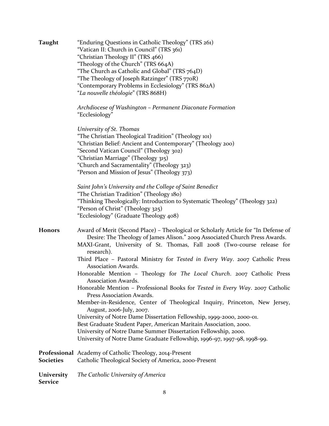| <b>Taught</b>                | "Enduring Questions in Catholic Theology" (TRS 261)<br>"Vatican II: Church in Council" (TRS 361)<br>"Christian Theology II" (TRS 466)<br>"Theology of the Church" (TRS 664A)<br>"The Church as Catholic and Global" (TRS 764D)<br>"The Theology of Joseph Ratzinger" (TRS 770R)<br>"Contemporary Problems in Ecclesiology" (TRS 862A)<br>"La nouvelle théologie" (TRS 868H)                                                                                                                                                                                                                                                                                                                                                                                                                                                                                                                                                                                                             |
|------------------------------|-----------------------------------------------------------------------------------------------------------------------------------------------------------------------------------------------------------------------------------------------------------------------------------------------------------------------------------------------------------------------------------------------------------------------------------------------------------------------------------------------------------------------------------------------------------------------------------------------------------------------------------------------------------------------------------------------------------------------------------------------------------------------------------------------------------------------------------------------------------------------------------------------------------------------------------------------------------------------------------------|
|                              | Archdiocese of Washington – Permanent Diaconate Formation<br>"Ecclesiology"                                                                                                                                                                                                                                                                                                                                                                                                                                                                                                                                                                                                                                                                                                                                                                                                                                                                                                             |
|                              | University of St. Thomas<br>"The Christian Theological Tradition" (Theology 101)<br>"Christian Belief: Ancient and Contemporary" (Theology 200)<br>"Second Vatican Council" (Theology 302)<br>"Christian Marriage" (Theology 315)<br>"Church and Sacramentality" (Theology 323)<br>"Person and Mission of Jesus" (Theology 373)                                                                                                                                                                                                                                                                                                                                                                                                                                                                                                                                                                                                                                                         |
|                              | Saint John's University and the College of Saint Benedict<br>"The Christian Tradition" (Theology 180)<br>"Thinking Theologically: Introduction to Systematic Theology" (Theology 322)<br>"Person of Christ" (Theology 325)<br>"Ecclesiology" (Graduate Theology 408)                                                                                                                                                                                                                                                                                                                                                                                                                                                                                                                                                                                                                                                                                                                    |
| <b>Honors</b>                | Award of Merit (Second Place) - Theological or Scholarly Article for "In Defense of<br>Desire: The Theology of James Alison." 2009 Associated Church Press Awards.<br>MAXI-Grant, University of St. Thomas, Fall 2008 (Two-course release for<br>research).<br>Third Place - Pastoral Ministry for Tested in Every Way. 2007 Catholic Press<br>Association Awards.<br>Honorable Mention - Theology for The Local Church. 2007 Catholic Press<br>Association Awards.<br>Honorable Mention - Professional Books for Tested in Every Way. 2007 Catholic<br>Press Association Awards.<br>Member-in-Residence, Center of Theological Inquiry, Princeton, New Jersey,<br>August, 2006-July, 2007.<br>University of Notre Dame Dissertation Fellowship, 1999-2000, 2000-01.<br>Best Graduate Student Paper, American Maritain Association, 2000.<br>University of Notre Dame Summer Dissertation Fellowship, 2000.<br>University of Notre Dame Graduate Fellowship, 1996-97, 1997-98, 1998-99. |
| <b>Societies</b>             | <b>Professional</b> Academy of Catholic Theology, 2014-Present<br>Catholic Theological Society of America, 2000-Present                                                                                                                                                                                                                                                                                                                                                                                                                                                                                                                                                                                                                                                                                                                                                                                                                                                                 |
| University<br><b>Service</b> | The Catholic University of America                                                                                                                                                                                                                                                                                                                                                                                                                                                                                                                                                                                                                                                                                                                                                                                                                                                                                                                                                      |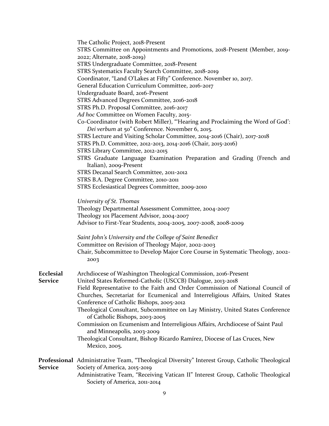| STRS Committee on Appointments and Promotions, 2018-Present (Member, 2019-<br>2022; Alternate, 2018-2019)<br>STRS Undergraduate Committee, 2018-Present<br>STRS Systematics Faculty Search Committee, 2018-2019<br>Coordinator, "Land O'Lakes at Fifty" Conference. November 10, 2017. |  |
|----------------------------------------------------------------------------------------------------------------------------------------------------------------------------------------------------------------------------------------------------------------------------------------|--|
|                                                                                                                                                                                                                                                                                        |  |
|                                                                                                                                                                                                                                                                                        |  |
|                                                                                                                                                                                                                                                                                        |  |
|                                                                                                                                                                                                                                                                                        |  |
| General Education Curriculum Committee, 2016-2017                                                                                                                                                                                                                                      |  |
| Undergraduate Board, 2016-Present                                                                                                                                                                                                                                                      |  |
| STRS Advanced Degrees Committee, 2016-2018                                                                                                                                                                                                                                             |  |
| STRS Ph.D. Proposal Committee, 2016-2017                                                                                                                                                                                                                                               |  |
| Ad hoc Committee on Women Faculty, 2015-                                                                                                                                                                                                                                               |  |
| Co-Coordinator (with Robert Miller), "Hearing and Proclaiming the Word of God':                                                                                                                                                                                                        |  |
| Dei verbum at 50" Conference. November 6, 2015.                                                                                                                                                                                                                                        |  |
| STRS Lecture and Visiting Scholar Committee, 2014-2016 (Chair), 2017-2018                                                                                                                                                                                                              |  |
| STRS Ph.D. Committee, 2012-2013, 2014-2016 (Chair, 2015-2016)                                                                                                                                                                                                                          |  |
| STRS Library Committee, 2012-2015                                                                                                                                                                                                                                                      |  |
| STRS Graduate Language Examination Preparation and Grading (French and                                                                                                                                                                                                                 |  |
| Italian), 2009-Present                                                                                                                                                                                                                                                                 |  |
| STRS Decanal Search Committee, 2011-2012                                                                                                                                                                                                                                               |  |
| STRS B.A. Degree Committee, 2010-2011                                                                                                                                                                                                                                                  |  |
| STRS Ecclesiastical Degrees Committee, 2009-2010                                                                                                                                                                                                                                       |  |
| University of St. Thomas                                                                                                                                                                                                                                                               |  |
| Theology Departmental Assessment Committee, 2004-2007                                                                                                                                                                                                                                  |  |
| Theology 101 Placement Advisor, 2004-2007                                                                                                                                                                                                                                              |  |
| Advisor to First-Year Students, 2004-2005, 2007-2008, 2008-2009                                                                                                                                                                                                                        |  |
| Saint John's University and the College of Saint Benedict                                                                                                                                                                                                                              |  |
| Committee on Revision of Theology Major, 2002-2003                                                                                                                                                                                                                                     |  |
| Chair, Subcommittee to Develop Major Core Course in Systematic Theology, 2002-<br>2003                                                                                                                                                                                                 |  |
| <b>Ecclesial</b><br>Archdiocese of Washington Theological Commission, 2016-Present                                                                                                                                                                                                     |  |
| <b>Service</b><br>United States Reformed-Catholic (USCCB) Dialogue, 2013-2018                                                                                                                                                                                                          |  |
| Field Representative to the Faith and Order Commission of National Council of                                                                                                                                                                                                          |  |
| Churches, Secretariat for Ecumenical and Interreligious Affairs, United States                                                                                                                                                                                                         |  |
| Conference of Catholic Bishops, 2005-2012                                                                                                                                                                                                                                              |  |
| Theological Consultant, Subcommittee on Lay Ministry, United States Conference<br>of Catholic Bishops, 2003-2005                                                                                                                                                                       |  |
| Commission on Ecumenism and Interreligious Affairs, Archdiocese of Saint Paul                                                                                                                                                                                                          |  |
| and Minneapolis, 2003-2009                                                                                                                                                                                                                                                             |  |
| Theological Consultant, Bishop Ricardo Ramírez, Diocese of Las Cruces, New<br>Mexico, 2005.                                                                                                                                                                                            |  |
| <b>Professional</b> Administrative Team, "Theological Diversity" Interest Group, Catholic Theological                                                                                                                                                                                  |  |
| <b>Service</b><br>Society of America, 2015-2019                                                                                                                                                                                                                                        |  |
| Administrative Team, "Receiving Vatican II" Interest Group, Catholic Theological<br>Society of America, 2011-2014                                                                                                                                                                      |  |